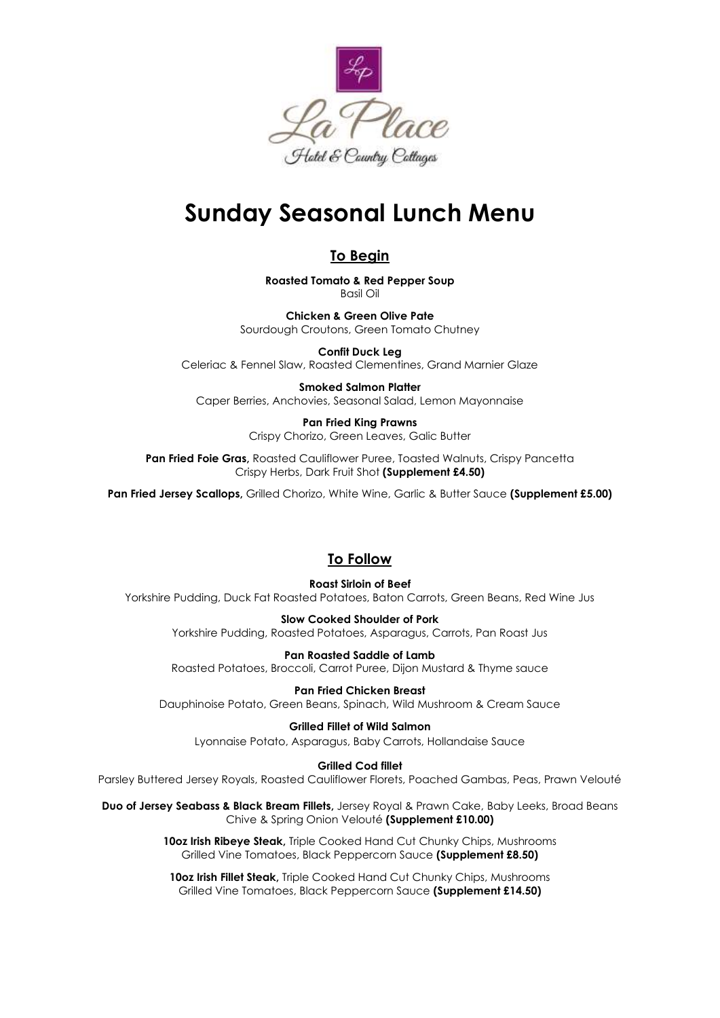

# **Sunday Seasonal Lunch Menu**

### **To Begin**

**Roasted Tomato & Red Pepper Soup** Basil Oil

**Chicken & Green Olive Pate** Sourdough Croutons, Green Tomato Chutney

**Confit Duck Leg** Celeriac & Fennel Slaw, Roasted Clementines, Grand Marnier Glaze

**Smoked Salmon Platter** Caper Berries, Anchovies, Seasonal Salad, Lemon Mayonnaise

> **Pan Fried King Prawns** Crispy Chorizo, Green Leaves, Galic Butter

Pan Fried Foie Gras, Roasted Cauliflower Puree, Toasted Walnuts, Crispy Pancetta Crispy Herbs, Dark Fruit Shot **(Supplement £4.50)**

**Pan Fried Jersey Scallops,** Grilled Chorizo, White Wine, Garlic & Butter Sauce **(Supplement £5.00)**

## **To Follow**

**Roast Sirloin of Beef** Yorkshire Pudding, Duck Fat Roasted Potatoes, Baton Carrots, Green Beans, Red Wine Jus

> **Slow Cooked Shoulder of Pork**  Yorkshire Pudding, Roasted Potatoes, Asparagus, Carrots, Pan Roast Jus

**Pan Roasted Saddle of Lamb** Roasted Potatoes, Broccoli, Carrot Puree, Dijon Mustard & Thyme sauce

**Pan Fried Chicken Breast** Dauphinoise Potato, Green Beans, Spinach, Wild Mushroom & Cream Sauce

**Grilled Fillet of Wild Salmon** Lyonnaise Potato, Asparagus, Baby Carrots, Hollandaise Sauce

#### **Grilled Cod fillet**

Parsley Buttered Jersey Royals, Roasted Cauliflower Florets, Poached Gambas, Peas, Prawn Velouté

**Duo of Jersey Seabass & Black Bream Fillets,** Jersey Royal & Prawn Cake, Baby Leeks, Broad Beans Chive & Spring Onion Velouté **(Supplement £10.00)**

> **10oz Irish Ribeye Steak,** Triple Cooked Hand Cut Chunky Chips, Mushrooms Grilled Vine Tomatoes, Black Peppercorn Sauce **(Supplement £8.50)**

**10oz Irish Fillet Steak,** Triple Cooked Hand Cut Chunky Chips, Mushrooms Grilled Vine Tomatoes, Black Peppercorn Sauce **(Supplement £14.50)**